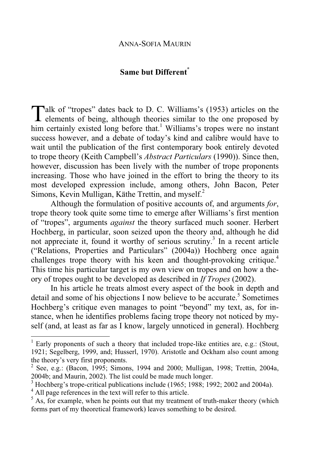### **Same but Different\***

Talk of "tropes" dates back to D. C. Williams's (1953) articles on the elements of being, although theories similar to the one proposed by **L** elements of being, although theories similar to the one proposed by him certainly existed long before that.<sup>1</sup> Williams's tropes were no instant success however, and a debate of today's kind and calibre would have to wait until the publication of the first contemporary book entirely devoted to trope theory (Keith Campbell's *Abstract Particulars* (1990)). Since then, however, discussion has been lively with the number of trope proponents increasing. Those who have joined in the effort to bring the theory to its most developed expression include, among others, John Bacon, Peter Simons, Kevin Mulligan, Käthe Trettin, and myself.<sup>2</sup>

Although the formulation of positive accounts of, and arguments *for*, trope theory took quite some time to emerge after Williams's first mention of "tropes", arguments *against* the theory surfaced much sooner. Herbert Hochberg, in particular, soon seized upon the theory and, although he did not appreciate it, found it worthy of serious scrutiny.<sup>3</sup> In a recent article ("Relations, Properties and Particulars" (2004a)) Hochberg once again challenges trope theory with his keen and thought-provoking critique.<sup>4</sup> This time his particular target is my own view on tropes and on how a theory of tropes ought to be developed as described in *If Tropes* (2002).

In his article he treats almost every aspect of the book in depth and detail and some of his objections I now believe to be accurate.<sup>5</sup> Sometimes Hochberg's critique even manages to point "beyond" my text, as, for instance, when he identifies problems facing trope theory not noticed by myself (and, at least as far as I know, largely unnoticed in general). Hochberg

<sup>&</sup>lt;sup>1</sup> Early proponents of such a theory that included trope-like entities are, e.g.: (Stout, 1921; Segelberg, 1999, and; Husserl, 1970). Aristotle and Ockham also count among the theory's very first proponents.

<sup>&</sup>lt;sup>2</sup> See, e.g.: (Bacon, 1995; Simons, 1994 and 2000; Mulligan, 1998; Trettin, 2004a, 2004b; and Maurin, 2002). The list could be made much longer.

<sup>3</sup> Hochberg's trope-critical publications include (1965; 1988; 1992; 2002 and 2004a).

 $^{4}$  All page references in the text will refer to this article.

As, for example, when he points out that my treatment of truth-maker theory (which forms part of my theoretical framework) leaves something to be desired.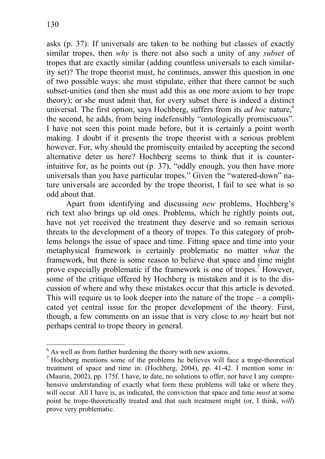asks (p. 37): If universals are taken to be nothing but classes of exactly similar tropes, then *why* is there not also such a unity of any *subset* of tropes that are exactly similar (adding countless universals to each similarity set)? The trope theorist must, he continues, answer this question in one of two possible ways: she must stipulate, either that there cannot be such subset-unities (and then she must add this as one more axiom to her trope theory); or she must admit that, for every subset there is indeed a distinct universal. The first option, says Hochberg, suffers from its *ad hoc* nature,<sup>6</sup> the second, he adds, from being indefensibly "ontologically promiscuous". I have not seen this point made before, but it is certainly a point worth making. I doubt if it presents the trope theorist with a serious problem however. For, why should the promiscuity entailed by accepting the second alternative deter us here? Hochberg seems to think that it is counterintuitive for, as he points out (p. 37), "oddly enough, you then have more universals than you have particular tropes." Given the "watered-down" nature universals are accorded by the trope theorist, I fail to see what is so odd about that.

Apart from identifying and discussing *new* problems, Hochberg's rich text also brings up old ones. Problems, which he rightly points out, have not yet received the treatment they deserve and so remain serious threats to the development of a theory of tropes. To this category of problems belongs the issue of space and time. Fitting space and time into your metaphysical framework is certainly problematic no matter *what* the framework, but there is some reason to believe that space and time might prove especially problematic if the framework is one of tropes.<sup>7</sup> However, some of the critique offered by Hochberg is mistaken and it is to the discussion of where and why these mistakes occur that this article is devoted. This will require us to look deeper into the nature of the trope  $-$  a complicated yet central issue for the proper development of the theory. First, though, a few comments on an issue that is very close to *my* heart but not perhaps central to trope theory in general.

 $<sup>6</sup>$  As well as from further burdening the theory with new axioms.</sup>

<sup>&</sup>lt;sup>7</sup> Hochberg mentions some of the problems he believes will face a trope-theoretical treatment of space and time in: (Hochberg, 2004), pp. 41-42. I mention some in: (Maurin, 2002), pp. 175f. I have, to date, no solutions to offer, nor have I any comprehensive understanding of exactly what form these problems will take or where they will occur. All I have is, as indicated, the conviction that space and time *must* at some point be trope-theoretically treated and that such treatment might (or, I think, *will*) prove very problematic.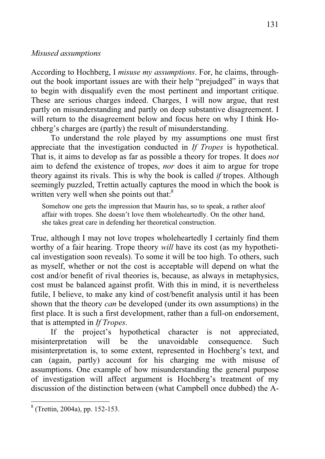### *Misused assumptions*

According to Hochberg, I *misuse my assumptions*. For, he claims, throughout the book important issues are with their help "prejudged" in ways that to begin with disqualify even the most pertinent and important critique. These are serious charges indeed. Charges, I will now argue, that rest partly on misunderstanding and partly on deep substantive disagreement. I will return to the disagreement below and focus here on why I think Hochberg's charges are (partly) the result of misunderstanding.

To understand the role played by my assumptions one must first appreciate that the investigation conducted in *If Tropes* is hypothetical. That is, it aims to develop as far as possible a theory for tropes. It does *not* aim to defend the existence of tropes, *nor* does it aim to argue for trope theory against its rivals. This is why the book is called *if* tropes. Although seemingly puzzled, Trettin actually captures the mood in which the book is written very well when she points out that:<sup>8</sup>

Somehow one gets the impression that Maurin has, so to speak, a rather aloof affair with tropes. She doesn't love them wholeheartedly. On the other hand, she takes great care in defending her theoretical construction.

True, although I may not love tropes wholeheartedly I certainly find them worthy of a fair hearing. Trope theory *will* have its cost (as my hypothetical investigation soon reveals). To some it will be too high. To others, such as myself, whether or not the cost is acceptable will depend on what the cost and/or benefit of rival theories is, because, as always in metaphysics, cost must be balanced against profit. With this in mind, it is nevertheless futile, I believe, to make any kind of cost/benefit analysis until it has been shown that the theory *can* be developed (under its own assumptions) in the first place. It is such a first development, rather than a full-on endorsement, that is attempted in *If Tropes*.

If the project's hypothetical character is not appreciated, misinterpretation will be the unavoidable consequence. Such misinterpretation is, to some extent, represented in Hochberg's text, and can (again, partly) account for his charging me with misuse of assumptions. One example of how misunderstanding the general purpose of investigation will affect argument is Hochberg's treatment of my discussion of the distinction between (what Campbell once dubbed) the A-

<sup>8</sup> (Trettin, 2004a), pp. 152-153.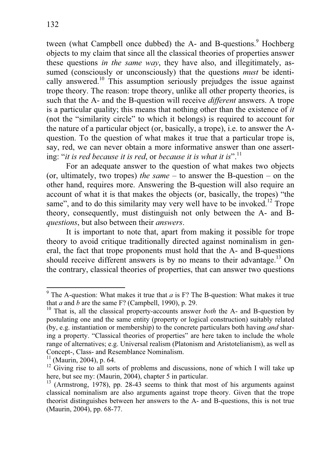tween (what Campbell once dubbed) the A- and B-questions.<sup>9</sup> Hochberg objects to my claim that since all the classical theories of properties answer these questions *in the same way*, they have also, and illegitimately, assumed (consciously or unconsciously) that the questions *must* be identically answered.<sup>10</sup> This assumption seriously prejudges the issue against trope theory. The reason: trope theory, unlike all other property theories, is such that the A- and the B-question will receive *different* answers. A trope is a particular quality; this means that nothing other than the existence of *it* (not the "similarity circle" to which it belongs) is required to account for the nature of a particular object (or, basically, a trope), i.e. to answer the Aquestion. To the question of what makes it true that a particular trope is, say, red, we can never obtain a more informative answer than one asserting: "*it is red because it is red*, or *because it is what it is*".<sup>11</sup>

For an adequate answer to the question of what makes two objects (or, ultimately, two tropes) *the same* – to answer the B-question – on the other hand, requires more. Answering the B-question will also require an account of what it is that makes the objects (or, basically, the tropes) "the same", and to do this similarity may very well have to be invoked.<sup>12</sup> Trope theory, consequently, must distinguish not only between the A- and B*questions*, but also between their *answers*.

It is important to note that, apart from making it possible for trope theory to avoid critique traditionally directed against nominalism in general, the fact that trope proponents must hold that the A- and B-questions should receive different answers is by no means to their advantage.<sup>13</sup> On the contrary, classical theories of properties, that can answer two questions

<sup>&</sup>lt;sup>9</sup> The A-question: What makes it true that  $a$  is F? The B-question: What makes it true that *a* and *b* are the same  $F$ ? (Campbell, 1990), p. 29.

<sup>10</sup> That is, all the classical property-accounts answer *both* the A- and B-question by postulating one and the same entity (property or logical construction) suitably related (by, e.g. instantiation or membership) to the concrete particulars both having *and* sharing a property. "Classical theories of properties" are here taken to include the whole range of alternatives; e.g. Universal realism (Platonism and Aristotelianism), as well as Concept-, Class- and Resemblance Nominalism.

<sup>&</sup>lt;sup>11</sup> (Maurin, 2004), p. 64.

 $12$  Giving rise to all sorts of problems and discussions, none of which I will take up here, but see my: (Maurin, 2004), chapter 5 in particular.

 $13$  (Armstrong, 1978), pp. 28-43 seems to think that most of his arguments against classical nominalism are also arguments against trope theory. Given that the trope theorist distinguishes between her answers to the A- and B-questions, this is not true (Maurin, 2004), pp. 68-77.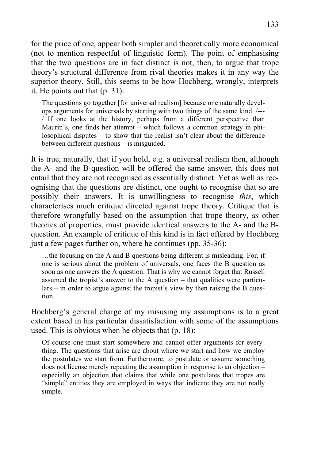for the price of one, appear both simpler and theoretically more economical (not to mention respectful of linguistic form). The point of emphasising that the two questions are in fact distinct is not, then, to argue that trope theory's structural difference from rival theories makes it in any way the superior theory. Still, this seems to be how Hochberg, wrongly, interprets it. He points out that (p. 31):

The questions go together [for universal realism] because one naturally develops arguments for universals by starting with two things of the same kind. /--- / If one looks at the history, perhaps from a different perspective than Maurin's, one finds her attempt – which follows a common strategy in philosophical disputes – to show that the realist isn't clear about the difference between different questions – is misguided.

It is true, naturally, that if you hold, e.g. a universal realism then, although the A- and the B-question will be offered the same answer, this does not entail that they are not recognised as essentially distinct. Yet as well as recognising that the questions are distinct, one ought to recognise that so are possibly their answers. It is unwillingness to recognise *this*, which characterises much critique directed against trope theory. Critique that is therefore wrongfully based on the assumption that trope theory, *as* other theories of properties, must provide identical answers to the A- and the Bquestion. An example of critique of this kind is in fact offered by Hochberg just a few pages further on, where he continues (pp. 35-36):

…the focusing on the A and B questions being different is misleading. For, if one is serious about the problem of universals, one faces the B question as soon as one answers the A question. That is why we cannot forget that Russell assumed the tropist's answer to the A question – that qualities were particulars – in order to argue against the tropist's view by then raising the B question.

Hochberg's general charge of my misusing my assumptions is to a great extent based in his particular dissatisfaction with some of the assumptions used. This is obvious when he objects that (p. 18):

Of course one must start somewhere and cannot offer arguments for everything. The questions that arise are about where we start and how we employ the postulates we start from. Furthermore, to postulate or assume something does not license merely repeating the assumption in response to an objection – especially an objection that claims that while one postulates that tropes are "simple" entities they are employed in ways that indicate they are not really simple.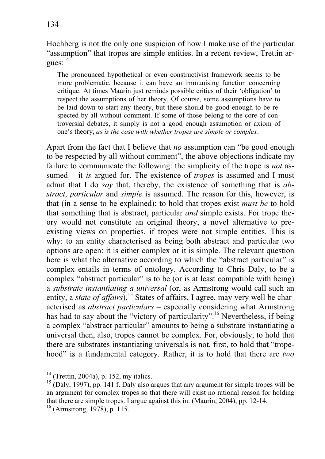Hochberg is not the only one suspicion of how I make use of the particular "assumption" that tropes are simple entities. In a recent review, Trettin argues: 14

The pronounced hypothetical or even constructivist framework seems to be more problematic, because it can have an immunising function concerning critique: At times Maurin just reminds possible critics of their 'obligation' to respect the assumptions of her theory. Of course, some assumptions have to be laid down to start any theory, but these should be good enough to be respected by all without comment. If some of those belong to the core of controversial debates, it simply is not a good enough assumption or axiom of one's theory, *as is the case with whether tropes are simple or complex*.

Apart from the fact that I believe that *no* assumption can "be good enough to be respected by all without comment", the above objections indicate my failure to communicate the following: the simplicity of the trope is *not* assumed – it *is* argued for. The existence of *tropes* is assumed and I must admit that I do *say* that, thereby, the existence of something that is *abstract*, *particular* and *simple* is assumed. The reason for this, however, is that (in a sense to be explained): to hold that tropes exist *must be* to hold that something that is abstract, particular *and* simple exists. For trope theory would not constitute an original theory, a novel alternative to preexisting views on properties, if tropes were not simple entities. This is why: to an entity characterised as being both abstract and particular two options are open: it is either complex or it is simple. The relevant question here is what the alternative according to which the "abstract particular" is complex entails in terms of ontology. According to Chris Daly, to be a complex "abstract particular" is to be (or is at least compatible with being) a *substrate instantiating a universal* (or, as Armstrong would call such an entity, a *state of affairs*).<sup>15</sup> States of affairs, I agree, may very well be characterised as *abstract particulars* – especially considering what Armstrong has had to say about the "victory of particularity".<sup>16</sup> Nevertheless, if being a complex "abstract particular" amounts to being a substrate instantiating a universal then, also, tropes cannot be complex. For, obviously, to hold that there are substrates instantiating universals is not, first, to hold that "tropehood" is a fundamental category. Rather, it is to hold that there are *two*

 $14$  (Trettin, 2004a), p. 152, my italics.

 $15$  (Daly, 1997), pp. 141 f. Daly also argues that any argument for simple tropes will be an argument for complex tropes so that there will exist no rational reason for holding that there are simple tropes. I argue against this in: (Maurin, 2004), pp. 12-14.

 $^{16}$  (Armstrong, 1978), p. 115.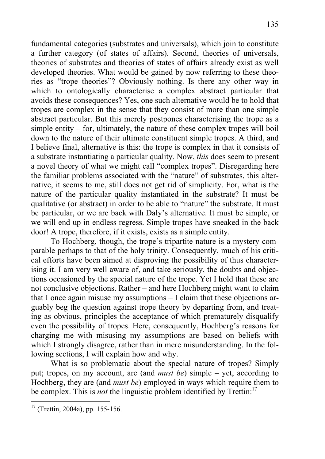fundamental categories (substrates and universals), which join to constitute a further category (of states of affairs). Second, theories of universals, theories of substrates and theories of states of affairs already exist as well developed theories. What would be gained by now referring to these theories as "trope theories"? Obviously nothing. Is there any other way in which to ontologically characterise a complex abstract particular that avoids these consequences? Yes, one such alternative would be to hold that tropes are complex in the sense that they consist of more than one simple abstract particular. But this merely postpones characterising the trope as a simple entity – for, ultimately, the nature of these complex tropes will boil down to the nature of their ultimate constituent simple tropes. A third, and I believe final, alternative is this: the trope is complex in that it consists of a substrate instantiating a particular quality. Now, *this* does seem to present a novel theory of what we might call "complex tropes". Disregarding here the familiar problems associated with the "nature" of substrates, this alternative, it seems to me, still does not get rid of simplicity. For, what is the nature of the particular quality instantiated in the substrate? It must be qualitative (or abstract) in order to be able to "nature" the substrate. It must be particular, or we are back with Daly's alternative. It must be simple, or we will end up in endless regress. Simple tropes have sneaked in the back door! A trope, therefore, if it exists, exists as a simple entity.

To Hochberg, though, the trope's tripartite nature is a mystery comparable perhaps to that of the holy trinity. Consequently, much of his critical efforts have been aimed at disproving the possibility of thus characterising it. I am very well aware of, and take seriously, the doubts and objections occasioned by the special nature of the trope. Yet I hold that these are not conclusive objections. Rather – and here Hochberg might want to claim that I once again misuse my assumptions – I claim that these objections arguably beg the question against trope theory by departing from, and treating as obvious, principles the acceptance of which prematurely disqualify even the possibility of tropes. Here, consequently, Hochberg's reasons for charging me with misusing my assumptions are based on beliefs with which I strongly disagree, rather than in mere misunderstanding. In the following sections, I will explain how and why.

What is so problematic about the special nature of tropes? Simply put; tropes, on my account, are (and *must be*) simple – yet, according to Hochberg, they are (and *must be*) employed in ways which require them to be complex. This is *not* the linguistic problem identified by Trettin:<sup>17</sup>

 $17$  (Trettin, 2004a), pp. 155-156.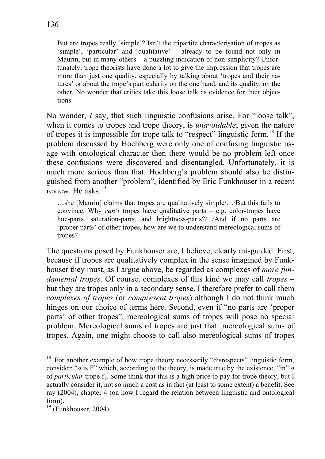But are tropes really 'simple'? Isn't the tripartite characterisation of tropes as 'simple', 'particular' and 'qualitative' – already to be found not only in Maurin, but in many others – a puzzling indication of non-simplicity? Unfortunately, trope theorists have done a lot to give the impression that tropes are more than just one quality, especially by talking about 'tropes and their natures' or about the trope's particularity on the one hand, and its quality, on the other. No wonder that critics take this loose talk as evidence for their objections.

No wonder, *I* say, that such linguistic confusions arise. For "loose talk", when it comes to tropes and trope theory, is *unavoidable*; given the nature of tropes it is impossible for trope talk to "respect" linguistic form.18 If the problem discussed by Hochberg were only one of confusing linguistic usage with ontological character then there would be no problem left once these confusions were discovered and disentangled. Unfortunately, it is much more serious than that. Hochberg's problem should also be distinguished from another "problem", identified by Eric Funkhouser in a recent review. He asks<sup> $\cdot$ 19</sup>

…she [Maurin] claims that tropes are qualitatively simple/…/But this fails to convince. Why *can't* tropes have qualitative parts – e.g. color-tropes have hue-parts, saturation-parts, and brightness-parts?/.../And if no parts are 'proper parts' of other tropes, how are we to understand mereological sums of tropes?

The questions posed by Funkhouser are, I believe, clearly misguided. First, because if tropes are qualitatively complex in the sense imagined by Funkhouser they must, as I argue above, be regarded as complexes of *more fundamental tropes*. Of course, complexes of this kind we may call *tropes* – but they are tropes only in a secondary sense. I therefore prefer to call them *complexes of tropes* (or *compresent tropes*) although I do not think much hinges on our choice of terms here. Second, even if "no parts are 'proper parts' of other tropes", mereological sums of tropes will pose no special problem. Mereological sums of tropes are just that: mereological sums of tropes. Again, one might choose to call also mereological sums of tropes

<sup>&</sup>lt;sup>18</sup> For another example of how trope theory necessarily "disrespects" linguistic form, consider: "*a* is F" which, according to the theory, is made true by the existence, "in" *a* of *particular* trope  $f_1$ . Some think that this is a high price to pay for trope theory, but I actually consider it, not so much a cost as in fact (at least to some extent) a benefit. See my (2004), chapter 4 (on how I regard the relation between linguistic and ontological form).

 $19$  (Funkhouser, 2004).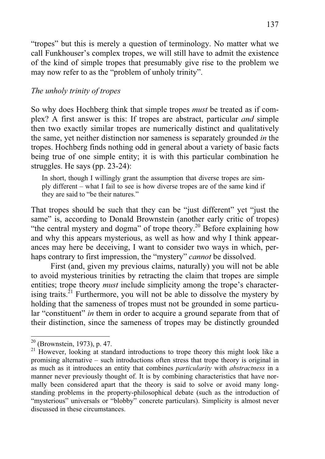"tropes" but this is merely a question of terminology. No matter what we call Funkhouser's complex tropes, we will still have to admit the existence of the kind of simple tropes that presumably give rise to the problem we may now refer to as the "problem of unholy trinity".

## *The unholy trinity of tropes*

So why does Hochberg think that simple tropes *must* be treated as if complex? A first answer is this: If tropes are abstract, particular *and* simple then two exactly similar tropes are numerically distinct and qualitatively the same, yet neither distinction nor sameness is separately grounded *in* the tropes. Hochberg finds nothing odd in general about a variety of basic facts being true of one simple entity; it is with this particular combination he struggles. He says (pp. 23-24):

In short, though I willingly grant the assumption that diverse tropes are simply different – what I fail to see is how diverse tropes are of the same kind if they are said to "be their natures."

That tropes should be such that they can be "just different" yet "just the same" is, according to Donald Brownstein (another early critic of tropes) "the central mystery and dogma" of trope theory.<sup>20</sup> Before explaining how and why this appears mysterious, as well as how and why I think appearances may here be deceiving, I want to consider two ways in which, perhaps contrary to first impression, the "mystery" *cannot* be dissolved.

First (and, given my previous claims, naturally) you will not be able to avoid mysterious trinities by retracting the claim that tropes are simple entities; trope theory *must* include simplicity among the trope's characterising traits. $^{21}$  Furthermore, you will not be able to dissolve the mystery by holding that the sameness of tropes must not be grounded in some particular "constituent" *in* them in order to acquire a ground separate from that of their distinction, since the sameness of tropes may be distinctly grounded

 $20$  (Brownstein, 1973), p. 47.

<sup>&</sup>lt;sup>21</sup> However, looking at standard introductions to trope theory this might look like a promising alternative – such introductions often stress that trope theory is original in as much as it introduces an entity that combines *particularity* with *abstractness* in a manner never previously thought of. It is by combining characteristics that have normally been considered apart that the theory is said to solve or avoid many longstanding problems in the property-philosophical debate (such as the introduction of "mysterious" universals or "blobby" concrete particulars). Simplicity is almost never discussed in these circumstances.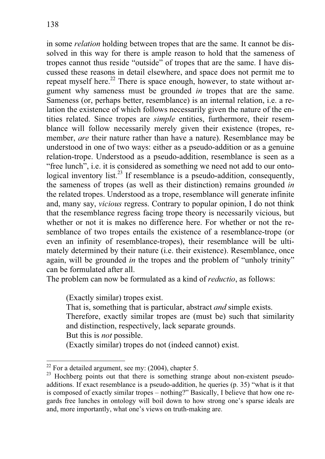in some *relation* holding between tropes that are the same. It cannot be dissolved in this way for there is ample reason to hold that the sameness of tropes cannot thus reside "outside" of tropes that are the same. I have discussed these reasons in detail elsewhere, and space does not permit me to repeat myself here.<sup>22</sup> There is space enough, however, to state without argument why sameness must be grounded *in* tropes that are the same. Sameness (or, perhaps better, resemblance) is an internal relation, i.e. a relation the existence of which follows necessarily given the nature of the entities related. Since tropes are *simple* entities, furthermore, their resemblance will follow necessarily merely given their existence (tropes, remember, *are* their nature rather than have a nature). Resemblance may be understood in one of two ways: either as a pseudo-addition or as a genuine relation-trope. Understood as a pseudo-addition, resemblance is seen as a "free lunch", i.e. it is considered as something we need not add to our ontological inventory list.<sup>23</sup> If resemblance is a pseudo-addition, consequently, the sameness of tropes (as well as their distinction) remains grounded *in* the related tropes. Understood as a trope, resemblance will generate infinite and, many say, *vicious* regress. Contrary to popular opinion, I do not think that the resemblance regress facing trope theory is necessarily vicious, but whether or not it is makes no difference here. For whether or not the resemblance of two tropes entails the existence of a resemblance-trope (or even an infinity of resemblance-tropes), their resemblance will be ultimately determined by their nature (i.e. their existence). Resemblance, once again, will be grounded *in* the tropes and the problem of "unholy trinity" can be formulated after all.

The problem can now be formulated as a kind of *reductio*, as follows:

(Exactly similar) tropes exist.

That is, something that is particular, abstract *and* simple exists.

Therefore, exactly similar tropes are (must be) such that similarity and distinction, respectively, lack separate grounds.

But this is *not* possible.

(Exactly similar) tropes do not (indeed cannot) exist.

 $22$  For a detailed argument, see my: (2004), chapter 5.

<sup>&</sup>lt;sup>23</sup> Hochberg points out that there is something strange about non-existent pseudoadditions. If exact resemblance is a pseudo-addition, he queries (p. 35) "what is it that is composed of exactly similar tropes – nothing?" Basically, I believe that how one regards free lunches in ontology will boil down to how strong one's sparse ideals are and, more importantly, what one's views on truth-making are.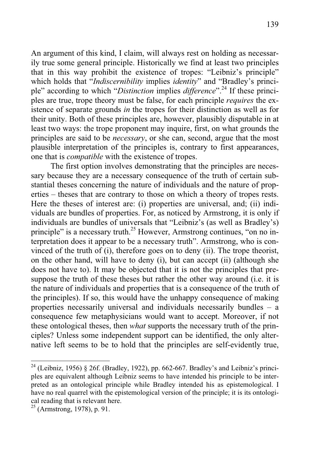An argument of this kind, I claim, will always rest on holding as necessarily true some general principle. Historically we find at least two principles that in this way prohibit the existence of tropes: "Leibniz's principle" which holds that "*Indiscernibility* implies *identity*" and "Bradley's principle" according to which "*Distinction* implies *difference*".24 If these principles are true, trope theory must be false, for each principle *requires* the existence of separate grounds *in* the tropes for their distinction as well as for their unity. Both of these principles are, however, plausibly disputable in at least two ways: the trope proponent may inquire, first, on what grounds the principles are said to be *necessary*, or she can, second, argue that the most plausible interpretation of the principles is, contrary to first appearances, one that is *compatible* with the existence of tropes.

The first option involves demonstrating that the principles are necessary because they are a necessary consequence of the truth of certain substantial theses concerning the nature of individuals and the nature of properties – theses that are contrary to those on which a theory of tropes rests. Here the theses of interest are: (i) properties are universal, and; (ii) individuals are bundles of properties. For, as noticed by Armstrong, it is only if individuals are bundles of universals that "Leibniz's (as well as Bradley's) principle" is a necessary truth.<sup>25</sup> However, Armstrong continues, "on no interpretation does it appear to be a necessary truth". Armstrong, who is convinced of the truth of (i), therefore goes on to deny (ii). The trope theorist, on the other hand, will have to deny (i), but can accept (ii) (although she does not have to). It may be objected that it is not the principles that presuppose the truth of these theses but rather the other way around (i.e. it is the nature of individuals and properties that is a consequence of the truth of the principles). If so, this would have the unhappy consequence of making properties necessarily universal and individuals necessarily bundles – a consequence few metaphysicians would want to accept. Moreover, if not these ontological theses, then *what* supports the necessary truth of the principles? Unless some independent support can be identified, the only alternative left seems to be to hold that the principles are self-evidently true,

 $24$  (Leibniz, 1956) § 26f. (Bradley, 1922), pp. 662-667. Bradley's and Leibniz's principles are equivalent although Leibniz seems to have intended his principle to be interpreted as an ontological principle while Bradley intended his as epistemological. I have no real quarrel with the epistemological version of the principle; it is its ontological reading that is relevant here.

 $25$  (Armstrong, 1978), p. 91.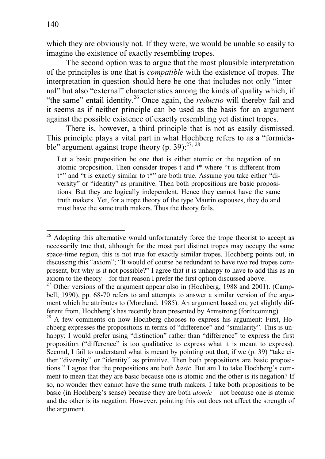which they are obviously not. If they were, we would be unable so easily to imagine the existence of exactly resembling tropes.

The second option was to argue that the most plausible interpretation of the principles is one that is *compatible* with the existence of tropes. The interpretation in question should here be one that includes not only "internal" but also "external" characteristics among the kinds of quality which, if "the same" entail identity.<sup>26</sup> Once again, the *reductio* will thereby fail and it seems as if neither principle can be used as the basis for an argument against the possible existence of exactly resembling yet distinct tropes.

There is, however, a third principle that is not as easily dismissed. This principle plays a vital part in what Hochberg refers to as a "formidable" argument against trope theory (p. 39): $27, 28$ 

Let a basic proposition be one that is either atomic or the negation of an atomic proposition. Then consider tropes t and t\* where "t is different from t\*" and "t is exactly similar to t\*" are both true. Assume you take either "diversity" or "identity" as primitive. Then both propositions are basic propositions. But they are logically independent. Hence they cannot have the same truth makers. Yet, for a trope theory of the type Maurin espouses, they do and must have the same truth makers. Thus the theory fails.

<sup>26</sup> Adopting this alternative would unfortunately force the trope theorist to accept as necessarily true that, although for the most part distinct tropes may occupy the same space-time region, this is not true for exactly similar tropes. Hochberg points out, in discussing this "axiom"; "It would of course be redundant to have two red tropes compresent, but why is it not possible?" I agree that it is unhappy to have to add this as an axiom to the theory – for that reason I prefer the first option discussed above.

 $27$  Other versions of the argument appear also in (Hochberg, 1988 and 2001). (Campbell, 1990), pp. 68-70 refers to and attempts to answer a similar version of the argument which he attributes to (Moreland, 1985). An argument based on, yet slightly different from, Hochberg's has recently been presented by Armstrong (forthcoming).

 $28$  A few comments on how Hochberg chooses to express his argument: First, Hochberg expresses the propositions in terms of "difference" and "similarity". This is unhappy; I would prefer using "distinction" rather than "difference" to express the first proposition ("difference" is too qualitative to express what it is meant to express). Second, I fail to understand what is meant by pointing out that, if we (p. 39) "take either "diversity" or "identity" as primitive. Then both propositions are basic propositions." I agree that the propositions are both *basic*. But am I to take Hochberg's comment to mean that they are basic because one is atomic and the other is its negation? If so, no wonder they cannot have the same truth makers. I take both propositions to be basic (in Hochberg's sense) because they are both *atomic* – not because one is atomic and the other is its negation. However, pointing this out does not affect the strength of the argument.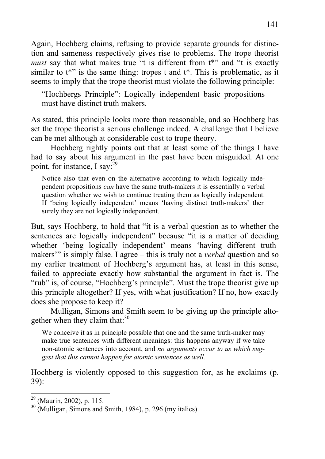Again, Hochberg claims, refusing to provide separate grounds for distinction and sameness respectively gives rise to problems. The trope theorist *must* say that what makes true "t is different from  $t^*$ " and "t is exactly similar to  $t^*$  is the same thing: tropes t and  $t^*$ . This is problematic, as it seems to imply that the trope theorist must violate the following principle:

"Hochbergs Principle": Logically independent basic propositions must have distinct truth makers.

As stated, this principle looks more than reasonable, and so Hochberg has set the trope theorist a serious challenge indeed. A challenge that I believe can be met although at considerable cost to trope theory.

Hochberg rightly points out that at least some of the things I have had to say about his argument in the past have been misguided. At one point, for instance, I say: $^{29}$ 

Notice also that even on the alternative according to which logically independent propositions *can* have the same truth-makers it is essentially a verbal question whether we wish to continue treating them as logically independent. If 'being logically independent' means 'having distinct truth-makers' then surely they are not logically independent.

But, says Hochberg, to hold that "it is a verbal question as to whether the sentences are logically independent" because "it is a matter of deciding whether 'being logically independent' means 'having different truthmakers'" is simply false. I agree – this is truly not a *verbal* question and so my earlier treatment of Hochberg's argument has, at least in this sense, failed to appreciate exactly how substantial the argument in fact is. The "rub" is, of course, "Hochberg's principle". Must the trope theorist give up this principle altogether? If yes, with what justification? If no, how exactly does she propose to keep it?

Mulligan, Simons and Smith seem to be giving up the principle altogether when they claim that: $30$ 

We conceive it as in principle possible that one and the same truth-maker may make true sentences with different meanings: this happens anyway if we take non-atomic sentences into account, and *no arguments occur to us which suggest that this cannot happen for atomic sentences as well.* 

Hochberg is violently opposed to this suggestion for, as he exclaims (p. 39):

 $29$  (Maurin, 2002), p. 115.

 $30$  (Mulligan, Simons and Smith, 1984), p. 296 (my italics).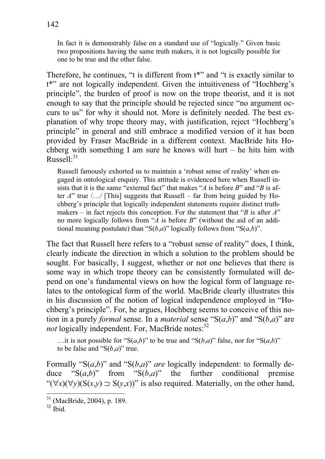In fact it is demonstrably false on a standard use of "logically." Given basic two propositions having the same truth makers, it is not logically possible for one to be true and the other false.

Therefore, he continues, "t is different from  $t^*$ " and "t is exactly similar to t\*" are not logically independent. Given the intuitiveness of "Hochberg's principle", the burden of proof is now on the trope theorist, and it is not enough to say that the principle should be rejected since "no argument occurs to us" for why it should not. More is definitely needed. The best explanation of why trope theory may, with justification, reject "Hochberg's principle" in general and still embrace a modified version of it has been provided by Fraser MacBride in a different context. MacBride hits Hochberg with something I am sure he knows will hurt – he hits him with Russell:<sup>31</sup>

Russell famously exhorted us to maintain a 'robust sense of reality' when engaged in ontological enquiry. This attitude is evidenced here when Russell insists that it is the same "external fact" that makes "*A* is before *B*" and "*B* is after *A*" true /…/ [This] suggests that Russell – far from being guided by Hochberg's principle that logically independent statements require distinct truthmakers – in fact rejects this conception. For the statement that "*B* is after *A*" no more logically follows from "*A* is before *B*" (without the aid of an additional meaning postulate) than "S $(b,a)$ " logically follows from "S $(a,b)$ ".

The fact that Russell here refers to a "robust sense of reality" does, I think, clearly indicate the direction in which a solution to the problem should be sought. For basically, I suggest, whether or not one believes that there is some way in which trope theory can be consistently formulated will depend on one's fundamental views on how the logical form of language relates to the ontological form of the world. MacBride clearly illustrates this in his discussion of the notion of logical independence employed in "Hochberg's principle". For, he argues, Hochberg seems to conceive of this notion in a purely *formal* sense. In a *material* sense " $S(a,b)$ " and " $S(b,a)$ " are *not* logically independent. For, MacBride notes:<sup>32</sup>

...it is not possible for "S $(a,b)$ " to be true and "S $(b,a)$ " false, nor for "S $(a,b)$ " to be false and " $S(b,a)$ " true.

Formally " $S(a,b)$ " and " $S(b,a)$ " *are* logically independent: to formally deduce " $S(a,b)$ " from " $S(b,a)$ " the further conditional premise " $(\forall x)(\forall y)(S(x,y) \supseteq S(y,x))$ " is also required. Materially, on the other hand,

<sup>31 (</sup>MacBride, 2004), p. 189.

 $32$  Ibid.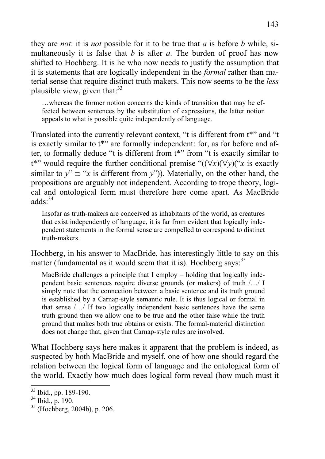they are *not*: it is *not* possible for it to be true that *a* is before *b* while, simultaneously it is false that *b* is after *a*. The burden of proof has now shifted to Hochberg. It is he who now needs to justify the assumption that it is statements that are logically independent in the *formal* rather than material sense that require distinct truth makers. This now seems to be the *less* plausible view, given that: $33$ 

…whereas the former notion concerns the kinds of transition that may be effected between sentences by the substitution of expressions, the latter notion appeals to what is possible quite independently of language.

Translated into the currently relevant context, "t is different from t\*" and "t is exactly similar to t\*" are formally independent: for, as for before and after, to formally deduce "t is different from t\*" from "t is exactly similar to t<sup>\*"</sup> would require the further conditional premise " $((\forall x)(\forall y)(``x$  is exactly similar to  $y'' \supset 'x$  is different from  $y''$ )). Materially, on the other hand, the propositions are arguably not independent. According to trope theory, logical and ontological form must therefore here come apart. As MacBride adds $\cdot^{34}$ 

Insofar as truth-makers are conceived as inhabitants of the world, as creatures that exist independently of language, it is far from evident that logically independent statements in the formal sense are compelled to correspond to distinct truth-makers.

Hochberg, in his answer to MacBride, has interestingly little to say on this matter (fundamental as it would seem that it is). Hochberg says:  $35$ 

MacBride challenges a principle that I employ – holding that logically independent basic sentences require diverse grounds (or makers) of truth /…/ I simply note that the connection between a basic sentence and its truth ground is established by a Carnap-style semantic rule. It is thus logical or formal in that sense /…/ If two logically independent basic sentences have the same truth ground then we allow one to be true and the other false while the truth ground that makes both true obtains or exists. The formal-material distinction does not change that, given that Carnap-style rules are involved.

What Hochberg says here makes it apparent that the problem is indeed, as suspected by both MacBride and myself, one of how one should regard the relation between the logical form of language and the ontological form of the world. Exactly how much does logical form reveal (how much must it

<sup>&</sup>lt;sup>33</sup> Ibid., pp. 189-190.

 $34$  Ibid., p. 190.

<sup>35 (</sup>Hochberg, 2004b), p. 206.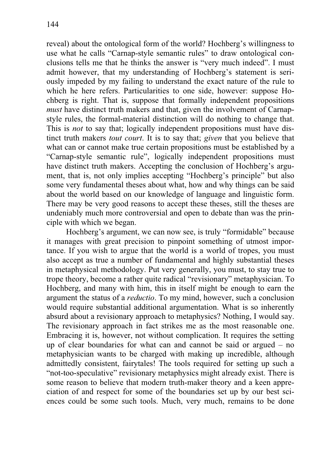reveal) about the ontological form of the world? Hochberg's willingness to use what he calls "Carnap-style semantic rules" to draw ontological conclusions tells me that he thinks the answer is "very much indeed". I must admit however, that my understanding of Hochberg's statement is seriously impeded by my failing to understand the exact nature of the rule to which he here refers. Particularities to one side, however: suppose Hochberg is right. That is, suppose that formally independent propositions *must* have distinct truth makers and that, given the involvement of Carnapstyle rules, the formal-material distinction will do nothing to change that. This is *not* to say that; logically independent propositions must have distinct truth makers *tout court*. It is to say that; *given* that you believe that what can or cannot make true certain propositions must be established by a "Carnap-style semantic rule", logically independent propositions must have distinct truth makers. Accepting the conclusion of Hochberg's argument, that is, not only implies accepting "Hochberg's principle" but also some very fundamental theses about what, how and why things can be said about the world based on our knowledge of language and linguistic form. There may be very good reasons to accept these theses, still the theses are undeniably much more controversial and open to debate than was the principle with which we began.

Hochberg's argument, we can now see, is truly "formidable" because it manages with great precision to pinpoint something of utmost importance. If you wish to argue that the world is a world of tropes, you must also accept as true a number of fundamental and highly substantial theses in metaphysical methodology. Put very generally, you must, to stay true to trope theory, become a rather quite radical "revisionary" metaphysician. To Hochberg, and many with him, this in itself might be enough to earn the argument the status of a *reductio*. To my mind, however, such a conclusion would require substantial additional argumentation. What is so inherently absurd about a revisionary approach to metaphysics? Nothing, I would say. The revisionary approach in fact strikes me as the most reasonable one. Embracing it is, however, not without complication. It requires the setting up of clear boundaries for what can and cannot be said or argued – no metaphysician wants to be charged with making up incredible, although admittedly consistent, fairytales! The tools required for setting up such a "not-too-speculative" revisionary metaphysics might already exist. There is some reason to believe that modern truth-maker theory and a keen appreciation of and respect for some of the boundaries set up by our best sciences could be some such tools. Much, very much, remains to be done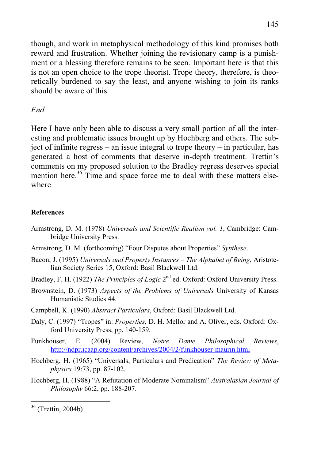though, and work in metaphysical methodology of this kind promises both reward and frustration. Whether joining the revisionary camp is a punishment or a blessing therefore remains to be seen. Important here is that this is not an open choice to the trope theorist. Trope theory, therefore, is theoretically burdened to say the least, and anyone wishing to join its ranks should be aware of this.

# *End*

Here I have only been able to discuss a very small portion of all the interesting and problematic issues brought up by Hochberg and others. The subject of infinite regress – an issue integral to trope theory – in particular, has generated a host of comments that deserve in-depth treatment. Trettin's comments on my proposed solution to the Bradley regress deserves special mention here.<sup>36</sup> Time and space force me to deal with these matters elsewhere.

### **References**

- Armstrong, D. M. (1978) *Universals and Scientific Realism vol. 1*, Cambridge: Cambridge University Press.
- Armstrong, D. M. (forthcoming) "Four Disputes about Properties" *Synthese*.
- Bacon, J. (1995) *Universals and Property Instances The Alphabet of Being*, Aristotelian Society Series 15, Oxford: Basil Blackwell Ltd.
- Bradley, F. H. (1922) *The Principles of Logic* 2<sup>nd</sup> ed. Oxford: Oxford University Press.
- Brownstein, D. (1973) *Aspects of the Problems of Universals* University of Kansas Humanistic Studies 44.
- Campbell, K. (1990) *Abstract Particulars*, Oxford: Basil Blackwell Ltd.
- Daly, C. (1997) "Tropes" in: *Properties*, D. H. Mellor and A. Oliver, eds. Oxford: Oxford University Press, pp. 140-159.
- Funkhouser, E. (2004) Review, *Notre Dame Philosophical Reviews*, http://ndpr.icaap.org/content/archives/2004/2/funkhouser-maurin.html
- Hochberg, H. (1965) "Universals, Particulars and Predication" *The Review of Metaphysics* 19:73, pp. 87-102.
- Hochberg, H. (1988) "A Refutation of Moderate Nominalism" *Australasian Journal of Philosophy* 66:2, pp. 188-207.

<sup>36 (</sup>Trettin, 2004b)